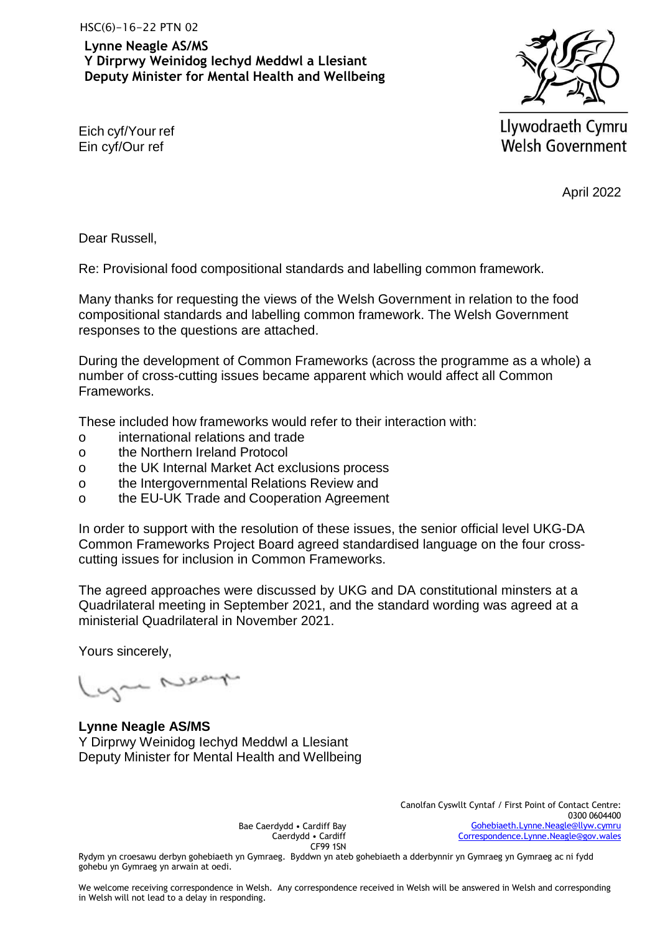**Lynne Neagle AS/MS Y Dirprwy Weinidog Iechyd Meddwl a Llesiant Deputy Minister for Mental Health and Wellbeing**



Eich cyf/Your ref Ein cyf/Our ref

Llywodraeth Cymru **Welsh Government** 

April 2022

Dear Russell,

Re: Provisional food compositional standards and labelling common framework.

Many thanks for requesting the views of the Welsh Government in relation to the food compositional standards and labelling common framework. The Welsh Government responses to the questions are attached.

During the development of Common Frameworks (across the programme as a whole) a number of cross-cutting issues became apparent which would affect all Common Frameworks.

These included how frameworks would refer to their interaction with:

- o international relations and trade
- o the Northern Ireland Protocol
- o the UK Internal Market Act exclusions process
- o the Intergovernmental Relations Review and
- o the EU-UK Trade and Cooperation Agreement

In order to support with the resolution of these issues, the senior official level UKG-DA Common Frameworks Project Board agreed standardised language on the four crosscutting issues for inclusion in Common Frameworks.

The agreed approaches were discussed by UKG and DA constitutional minsters at a Quadrilateral meeting in September 2021, and the standard wording was agreed at a ministerial Quadrilateral in November 2021.

Yours sincerely,

you Near

**Lynne Neagle AS/MS** Y Dirprwy Weinidog Iechyd Meddwl a Llesiant Deputy Minister for Mental Health and Wellbeing

Bae Caerdydd • Cardiff Bay Caerdydd • Cardiff CF99 1SN Canolfan Cyswllt Cyntaf / First Point of Contact Centre: 0300 0604400 [Gohebiaeth.Lynne.Neagle@llyw.cymru](mailto:Gohebiaeth.Lynne.Neagle@llyw.cymru) [Correspondence.Lynne.Neagle@gov.wales](mailto:Correspondence.Lynne.Neagle@gov.wales)

Rydym yn croesawu derbyn gohebiaeth yn Gymraeg. Byddwn yn ateb gohebiaeth a dderbynnir yn Gymraeg yn Gymraeg ac ni fydd gohebu yn Gymraeg yn arwain at oedi.

We welcome receiving correspondence in Welsh. Any correspondence received in Welsh will be answered in Welsh and corresponding in Welsh will not lead to a delay in responding.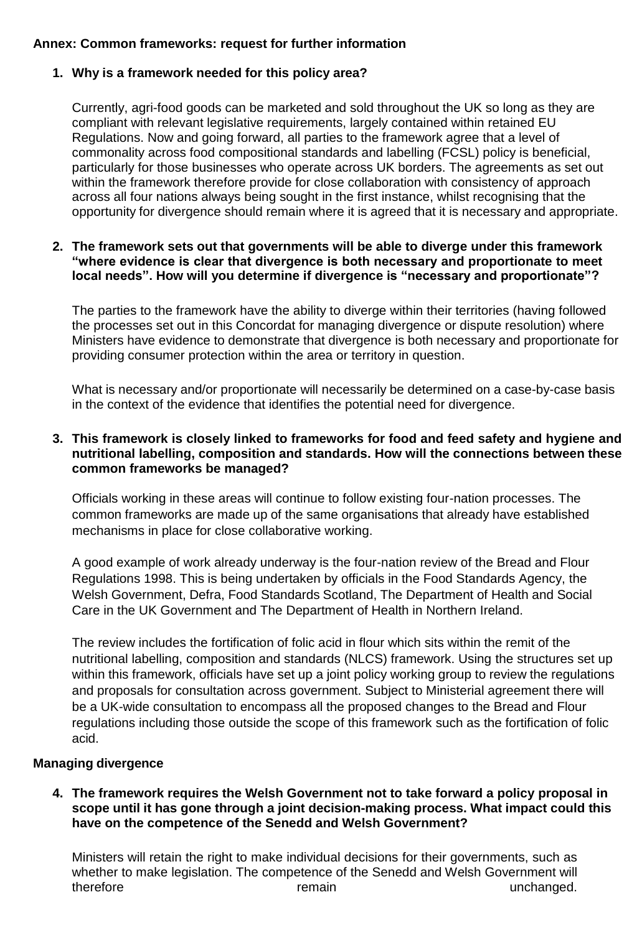# **Annex: Common frameworks: request for further information**

# **1. Why is a framework needed for this policy area?**

Currently, agri-food goods can be marketed and sold throughout the UK so long as they are compliant with relevant legislative requirements, largely contained within retained EU Regulations. Now and going forward, all parties to the framework agree that a level of commonality across food compositional standards and labelling (FCSL) policy is beneficial, particularly for those businesses who operate across UK borders. The agreements as set out within the framework therefore provide for close collaboration with consistency of approach across all four nations always being sought in the first instance, whilst recognising that the opportunity for divergence should remain where it is agreed that it is necessary and appropriate.

## **2. The framework sets out that governments will be able to diverge under this framework "where evidence is clear that divergence is both necessary and proportionate to meet local needs". How will you determine if divergence is "necessary and proportionate"?**

The parties to the framework have the ability to diverge within their territories (having followed the processes set out in this Concordat for managing divergence or dispute resolution) where Ministers have evidence to demonstrate that divergence is both necessary and proportionate for providing consumer protection within the area or territory in question.

What is necessary and/or proportionate will necessarily be determined on a case-by-case basis in the context of the evidence that identifies the potential need for divergence.

## **3. This framework is closely linked to frameworks for food and feed safety and hygiene and nutritional labelling, composition and standards. How will the connections between these common frameworks be managed?**

Officials working in these areas will continue to follow existing four-nation processes. The common frameworks are made up of the same organisations that already have established mechanisms in place for close collaborative working.

A good example of work already underway is the four-nation review of the Bread and Flour Regulations 1998. This is being undertaken by officials in the Food Standards Agency, the Welsh Government, Defra, Food Standards Scotland, The Department of Health and Social Care in the UK Government and The Department of Health in Northern Ireland.

The review includes the fortification of folic acid in flour which sits within the remit of the nutritional labelling, composition and standards (NLCS) framework. Using the structures set up within this framework, officials have set up a joint policy working group to review the regulations and proposals for consultation across government. Subject to Ministerial agreement there will be a UK-wide consultation to encompass all the proposed changes to the Bread and Flour regulations including those outside the scope of this framework such as the fortification of folic acid.

# **Managing divergence**

## **4. The framework requires the Welsh Government not to take forward a policy proposal in scope until it has gone through a joint decision-making process. What impact could this have on the competence of the Senedd and Welsh Government?**

Ministers will retain the right to make individual decisions for their governments, such as whether to make legislation. The competence of the Senedd and Welsh Government will therefore remain remain unchanged.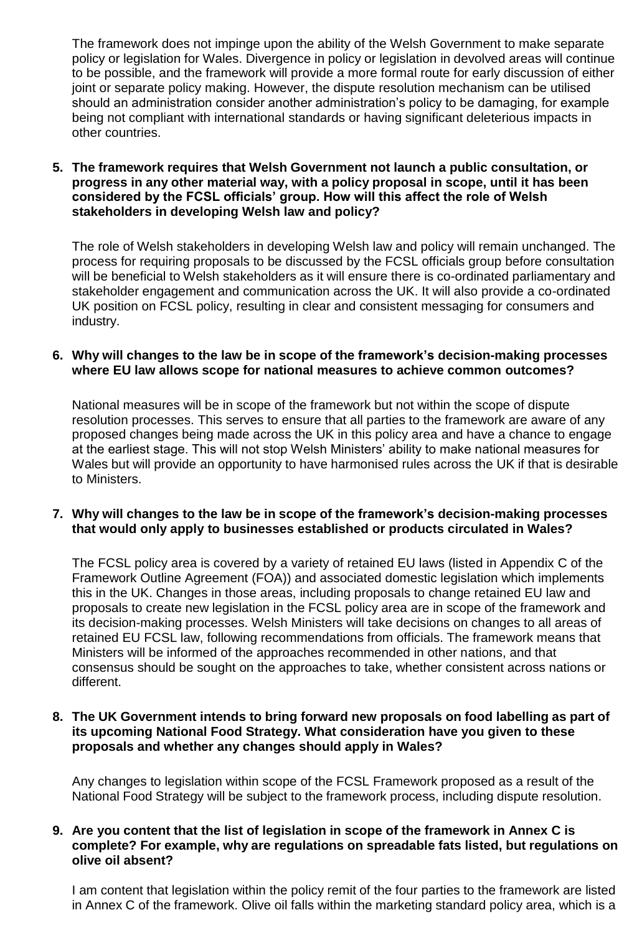The framework does not impinge upon the ability of the Welsh Government to make separate policy or legislation for Wales. Divergence in policy or legislation in devolved areas will continue to be possible, and the framework will provide a more formal route for early discussion of either joint or separate policy making. However, the dispute resolution mechanism can be utilised should an administration consider another administration's policy to be damaging, for example being not compliant with international standards or having significant deleterious impacts in other countries.

**5. The framework requires that Welsh Government not launch a public consultation, or progress in any other material way, with a policy proposal in scope, until it has been considered by the FCSL officials' group. How will this affect the role of Welsh stakeholders in developing Welsh law and policy?**

The role of Welsh stakeholders in developing Welsh law and policy will remain unchanged. The process for requiring proposals to be discussed by the FCSL officials group before consultation will be beneficial to Welsh stakeholders as it will ensure there is co-ordinated parliamentary and stakeholder engagement and communication across the UK. It will also provide a co-ordinated UK position on FCSL policy, resulting in clear and consistent messaging for consumers and industry.

### **6. Why will changes to the law be in scope of the framework's decision-making processes where EU law allows scope for national measures to achieve common outcomes?**

National measures will be in scope of the framework but not within the scope of dispute resolution processes. This serves to ensure that all parties to the framework are aware of any proposed changes being made across the UK in this policy area and have a chance to engage at the earliest stage. This will not stop Welsh Ministers' ability to make national measures for Wales but will provide an opportunity to have harmonised rules across the UK if that is desirable to Ministers.

### **7. Why will changes to the law be in scope of the framework's decision-making processes that would only apply to businesses established or products circulated in Wales?**

The FCSL policy area is covered by a variety of retained EU laws (listed in Appendix C of the Framework Outline Agreement (FOA)) and associated domestic legislation which implements this in the UK. Changes in those areas, including proposals to change retained EU law and proposals to create new legislation in the FCSL policy area are in scope of the framework and its decision-making processes. Welsh Ministers will take decisions on changes to all areas of retained EU FCSL law, following recommendations from officials. The framework means that Ministers will be informed of the approaches recommended in other nations, and that consensus should be sought on the approaches to take, whether consistent across nations or different.

### **8. The UK Government intends to bring forward new proposals on food labelling as part of its upcoming National Food Strategy. What consideration have you given to these proposals and whether any changes should apply in Wales?**

Any changes to legislation within scope of the FCSL Framework proposed as a result of the National Food Strategy will be subject to the framework process, including dispute resolution.

### **9. Are you content that the list of legislation in scope of the framework in Annex C is complete? For example, why are regulations on spreadable fats listed, but regulations on olive oil absent?**

I am content that legislation within the policy remit of the four parties to the framework are listed in Annex C of the framework. Olive oil falls within the marketing standard policy area, which is a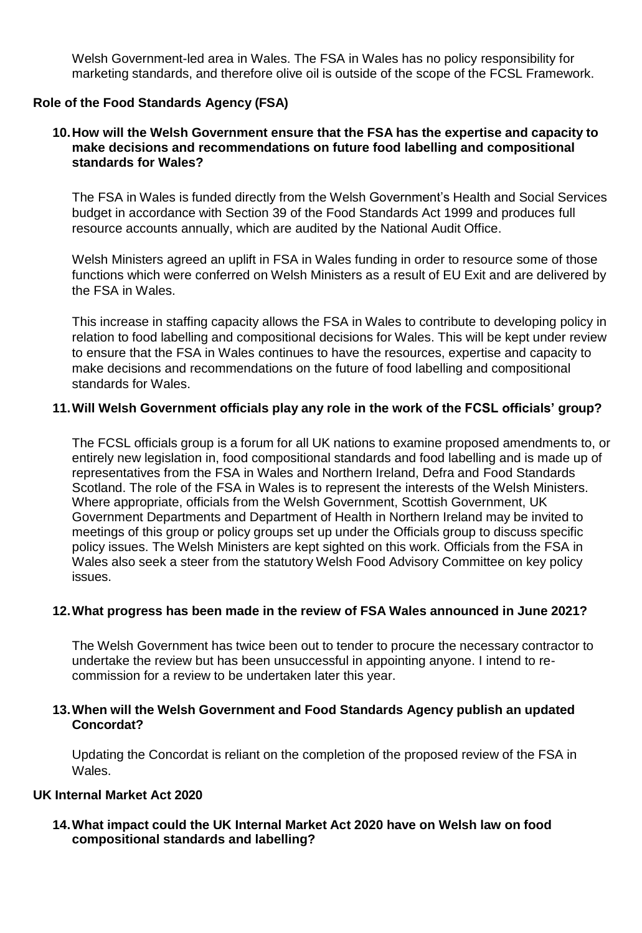Welsh Government-led area in Wales. The FSA in Wales has no policy responsibility for marketing standards, and therefore olive oil is outside of the scope of the FCSL Framework.

## **Role of the Food Standards Agency (FSA)**

### **10.How will the Welsh Government ensure that the FSA has the expertise and capacity to make decisions and recommendations on future food labelling and compositional standards for Wales?**

The FSA in Wales is funded directly from the Welsh Government's Health and Social Services budget in accordance with Section 39 of the Food Standards Act 1999 and produces full resource accounts annually, which are audited by the National Audit Office.

Welsh Ministers agreed an uplift in FSA in Wales funding in order to resource some of those functions which were conferred on Welsh Ministers as a result of EU Exit and are delivered by the FSA in Wales.

This increase in staffing capacity allows the FSA in Wales to contribute to developing policy in relation to food labelling and compositional decisions for Wales. This will be kept under review to ensure that the FSA in Wales continues to have the resources, expertise and capacity to make decisions and recommendations on the future of food labelling and compositional standards for Wales.

#### **11.Will Welsh Government officials play any role in the work of the FCSL officials' group?**

The FCSL officials group is a forum for all UK nations to examine proposed amendments to, or entirely new legislation in, food compositional standards and food labelling and is made up of representatives from the FSA in Wales and Northern Ireland, Defra and Food Standards Scotland. The role of the FSA in Wales is to represent the interests of the Welsh Ministers. Where appropriate, officials from the Welsh Government, Scottish Government, UK Government Departments and Department of Health in Northern Ireland may be invited to meetings of this group or policy groups set up under the Officials group to discuss specific policy issues. The Welsh Ministers are kept sighted on this work. Officials from the FSA in Wales also seek a steer from the statutory Welsh Food Advisory Committee on key policy issues.

#### **12.What progress has been made in the review of FSA Wales announced in June 2021?**

The Welsh Government has twice been out to tender to procure the necessary contractor to undertake the review but has been unsuccessful in appointing anyone. I intend to recommission for a review to be undertaken later this year.

### **13.When will the Welsh Government and Food Standards Agency publish an updated Concordat?**

Updating the Concordat is reliant on the completion of the proposed review of the FSA in Wales.

### **UK Internal Market Act 2020**

### **14.What impact could the UK Internal Market Act 2020 have on Welsh law on food compositional standards and labelling?**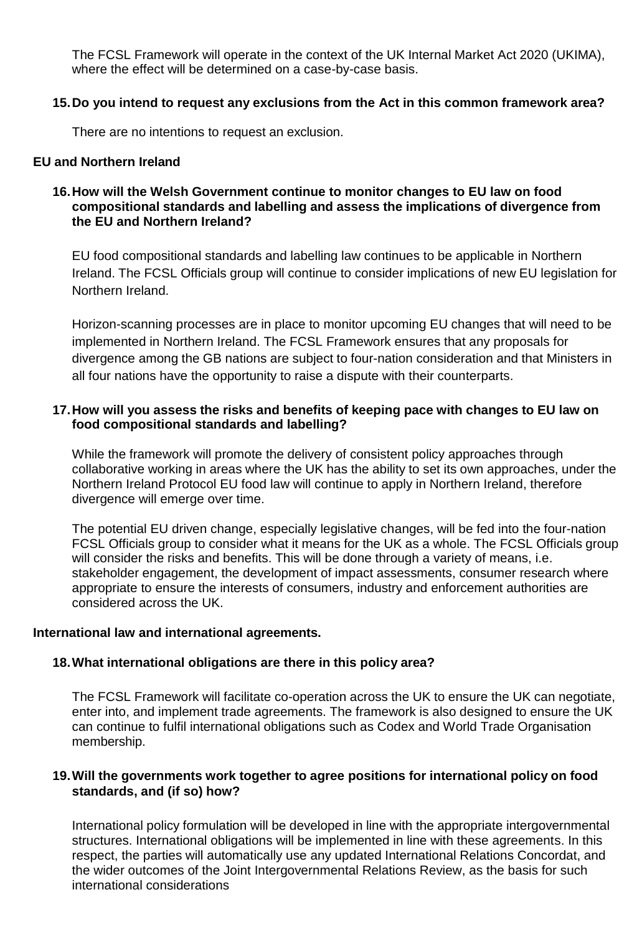The FCSL Framework will operate in the context of the UK Internal Market Act 2020 (UKIMA), where the effect will be determined on a case-by-case basis.

# **15.Do you intend to request any exclusions from the Act in this common framework area?**

There are no intentions to request an exclusion.

## **EU and Northern Ireland**

## **16.How will the Welsh Government continue to monitor changes to EU law on food compositional standards and labelling and assess the implications of divergence from the EU and Northern Ireland?**

EU food compositional standards and labelling law continues to be applicable in Northern Ireland. The FCSL Officials group will continue to consider implications of new EU legislation for Northern Ireland.

Horizon-scanning processes are in place to monitor upcoming EU changes that will need to be implemented in Northern Ireland. The FCSL Framework ensures that any proposals for divergence among the GB nations are subject to four-nation consideration and that Ministers in all four nations have the opportunity to raise a dispute with their counterparts.

# **17.How will you assess the risks and benefits of keeping pace with changes to EU law on food compositional standards and labelling?**

While the framework will promote the delivery of consistent policy approaches through collaborative working in areas where the UK has the ability to set its own approaches, under the Northern Ireland Protocol EU food law will continue to apply in Northern Ireland, therefore divergence will emerge over time.

The potential EU driven change, especially legislative changes, will be fed into the four-nation FCSL Officials group to consider what it means for the UK as a whole. The FCSL Officials group will consider the risks and benefits. This will be done through a variety of means, i.e. stakeholder engagement, the development of impact assessments, consumer research where appropriate to ensure the interests of consumers, industry and enforcement authorities are considered across the UK.

# **International law and international agreements.**

# **18.What international obligations are there in this policy area?**

The FCSL Framework will facilitate co-operation across the UK to ensure the UK can negotiate, enter into, and implement trade agreements. The framework is also designed to ensure the UK can continue to fulfil international obligations such as Codex and World Trade Organisation membership.

### **19.Will the governments work together to agree positions for international policy on food standards, and (if so) how?**

International policy formulation will be developed in line with the appropriate intergovernmental structures. International obligations will be implemented in line with these agreements. In this respect, the parties will automatically use any updated International Relations Concordat, and the wider outcomes of the Joint Intergovernmental Relations Review, as the basis for such international considerations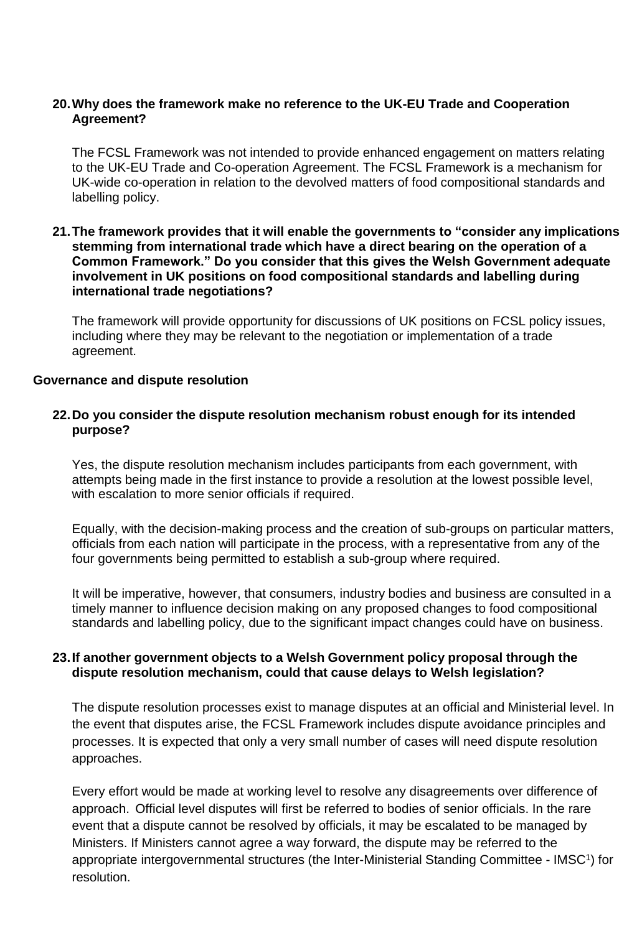### **20.Why does the framework make no reference to the UK-EU Trade and Cooperation Agreement?**

The FCSL Framework was not intended to provide enhanced engagement on matters relating to the UK-EU Trade and Co-operation Agreement. The FCSL Framework is a mechanism for UK-wide co-operation in relation to the devolved matters of food compositional standards and labelling policy.

### **21.The framework provides that it will enable the governments to "consider any implications stemming from international trade which have a direct bearing on the operation of a Common Framework." Do you consider that this gives the Welsh Government adequate involvement in UK positions on food compositional standards and labelling during international trade negotiations?**

The framework will provide opportunity for discussions of UK positions on FCSL policy issues, including where they may be relevant to the negotiation or implementation of a trade agreement.

#### **Governance and dispute resolution**

### **22.Do you consider the dispute resolution mechanism robust enough for its intended purpose?**

Yes, the dispute resolution mechanism includes participants from each government, with attempts being made in the first instance to provide a resolution at the lowest possible level, with escalation to more senior officials if required.

Equally, with the decision-making process and the creation of sub-groups on particular matters, officials from each nation will participate in the process, with a representative from any of the four governments being permitted to establish a sub-group where required.

It will be imperative, however, that consumers, industry bodies and business are consulted in a timely manner to influence decision making on any proposed changes to food compositional standards and labelling policy, due to the significant impact changes could have on business.

# **23.If another government objects to a Welsh Government policy proposal through the dispute resolution mechanism, could that cause delays to Welsh legislation?**

The dispute resolution processes exist to manage disputes at an official and Ministerial level. In the event that disputes arise, the FCSL Framework includes dispute avoidance principles and processes. It is expected that only a very small number of cases will need dispute resolution approaches.

Every effort would be made at working level to resolve any disagreements over difference of approach. Official level disputes will first be referred to bodies of senior officials. In the rare event that a dispute cannot be resolved by officials, it may be escalated to be managed by Ministers. If Ministers cannot agree a way forward, the dispute may be referred to the appropriate intergovernmental structures (the Inter-Ministerial Standing Committee - IMSC<sup>1</sup>) for resolution.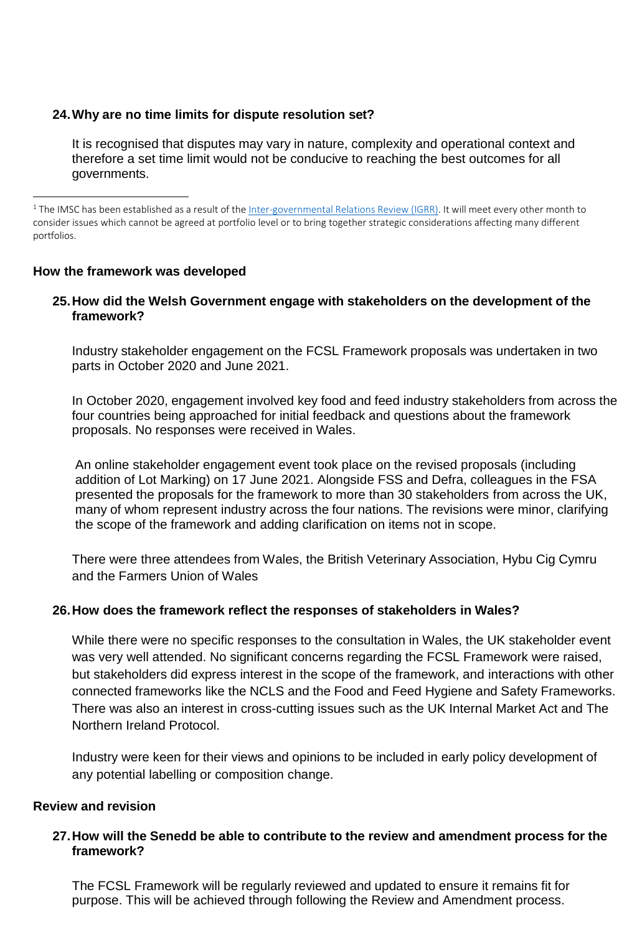# **24.Why are no time limits for dispute resolution set?**

It is recognised that disputes may vary in nature, complexity and operational context and therefore a set time limit would not be conducive to reaching the best outcomes for all governments.

<sup>1</sup> The IMSC has been established as a result of the [Inter-governmental](https://www.gov.uk/government/publications/the-review-of-intergovernmental-relations/review-of-intergovernmental-relations-html) Relations Review (IGRR). It will meet every other month to consider issues which cannot be agreed at portfolio level or to bring together strategic considerations affecting many different portfolios.

# **How the framework was developed**

# **25.How did the Welsh Government engage with stakeholders on the development of the framework?**

Industry stakeholder engagement on the FCSL Framework proposals was undertaken in two parts in October 2020 and June 2021.

In October 2020, engagement involved key food and feed industry stakeholders from across the four countries being approached for initial feedback and questions about the framework proposals. No responses were received in Wales.

An online stakeholder engagement event took place on the revised proposals (including addition of Lot Marking) on 17 June 2021. Alongside FSS and Defra, colleagues in the FSA presented the proposals for the framework to more than 30 stakeholders from across the UK, many of whom represent industry across the four nations. The revisions were minor, clarifying the scope of the framework and adding clarification on items not in scope.

There were three attendees from Wales, the British Veterinary Association, Hybu Cig Cymru and the Farmers Union of Wales

# **26.How does the framework reflect the responses of stakeholders in Wales?**

While there were no specific responses to the consultation in Wales, the UK stakeholder event was very well attended. No significant concerns regarding the FCSL Framework were raised, but stakeholders did express interest in the scope of the framework, and interactions with other connected frameworks like the NCLS and the Food and Feed Hygiene and Safety Frameworks. There was also an interest in cross-cutting issues such as the UK Internal Market Act and The Northern Ireland Protocol.

Industry were keen for their views and opinions to be included in early policy development of any potential labelling or composition change.

#### **Review and revision**

# **27.How will the Senedd be able to contribute to the review and amendment process for the framework?**

The FCSL Framework will be regularly reviewed and updated to ensure it remains fit for purpose. This will be achieved through following the Review and Amendment process.